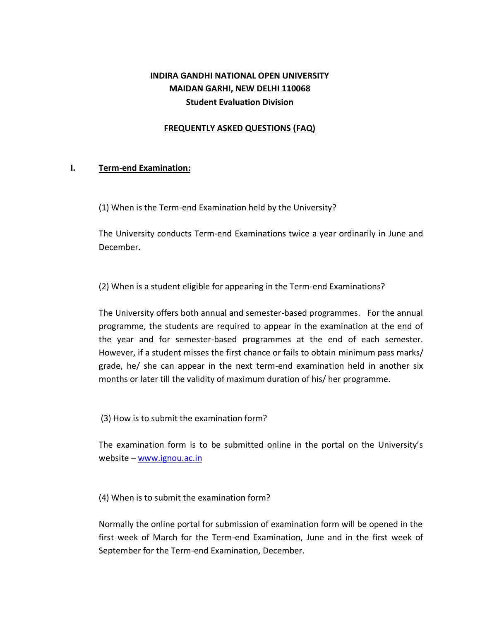# **INDIRA GANDHI NATIONAL OPEN UNIVERSITY MAIDAN GARHI, NEW DELHI 110068 Student Evaluation Division**

### **FREQUENTLY ASKED QUESTIONS (FAQ)**

### **I. Term-end Examination:**

(1) When is the Term-end Examination held by the University?

The University conducts Term-end Examinations twice a year ordinarily in June and December.

(2) When is a student eligible for appearing in the Term-end Examinations?

The University offers both annual and semester-based programmes. For the annual programme, the students are required to appear in the examination at the end of the year and for semester-based programmes at the end of each semester. However, if a student misses the first chance or fails to obtain minimum pass marks/ grade, he/ she can appear in the next term-end examination held in another six months or later till the validity of maximum duration of his/ her programme.

(3) How is to submit the examination form?

The examination form is to be submitted online in the portal on the University's website – [www.ignou.ac.in](http://www.ignou.ac.in/)

(4) When is to submit the examination form?

Normally the online portal for submission of examination form will be opened in the first week of March for the Term-end Examination, June and in the first week of September for the Term-end Examination, December.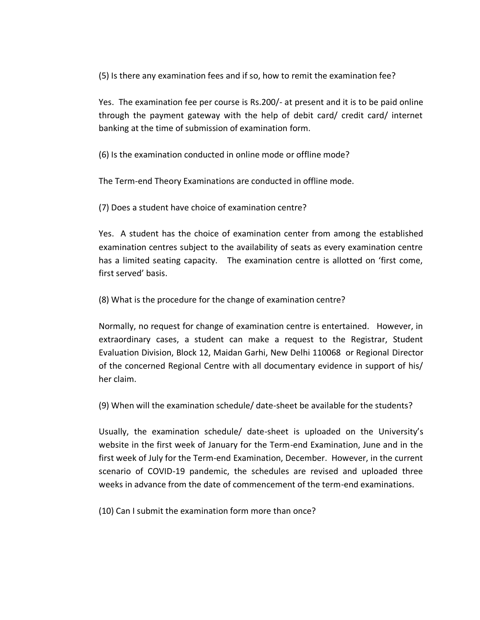(5) Is there any examination fees and if so, how to remit the examination fee?

Yes. The examination fee per course is Rs.200/- at present and it is to be paid online through the payment gateway with the help of debit card/ credit card/ internet banking at the time of submission of examination form.

(6) Is the examination conducted in online mode or offline mode?

The Term-end Theory Examinations are conducted in offline mode.

(7) Does a student have choice of examination centre?

Yes. A student has the choice of examination center from among the established examination centres subject to the availability of seats as every examination centre has a limited seating capacity. The examination centre is allotted on 'first come, first served' basis.

(8) What is the procedure for the change of examination centre?

Normally, no request for change of examination centre is entertained. However, in extraordinary cases, a student can make a request to the Registrar, Student Evaluation Division, Block 12, Maidan Garhi, New Delhi 110068 or Regional Director of the concerned Regional Centre with all documentary evidence in support of his/ her claim.

(9) When will the examination schedule/ date-sheet be available for the students?

Usually, the examination schedule/ date-sheet is uploaded on the University's website in the first week of January for the Term-end Examination, June and in the first week of July for the Term-end Examination, December. However, in the current scenario of COVID-19 pandemic, the schedules are revised and uploaded three weeks in advance from the date of commencement of the term-end examinations.

(10) Can I submit the examination form more than once?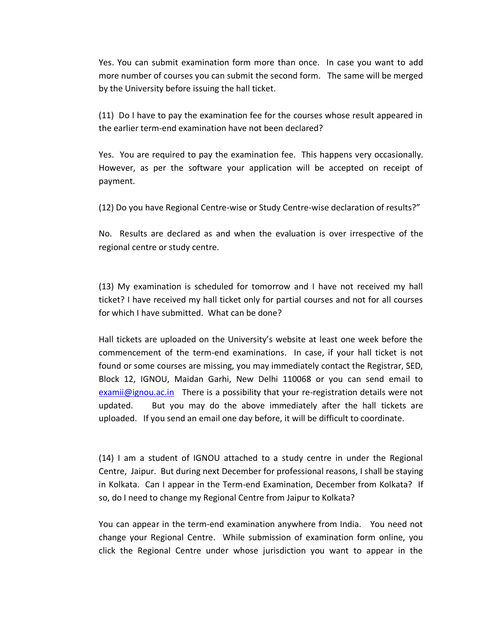Yes. You can submit examination form more than once. In case you want to add more number of courses you can submit the second form. The same will be merged by the University before issuing the hall ticket.

(11) Do I have to pay the examination fee for the courses whose result appeared in the earlier term-end examination have not been declared?

Yes. You are required to pay the examination fee. This happens very occasionally. However, as per the software your application will be accepted on receipt of payment.

(12) Do you have Regional Centre-wise or Study Centre-wise declaration of results?"

No. Results are declared as and when the evaluation is over irrespective of the regional centre or study centre.

(13) My examination is scheduled for tomorrow and I have not received my hall ticket? I have received my hall ticket only for partial courses and not for all courses for which I have submitted. What can be done?

Hall tickets are uploaded on the University's website at least one week before the commencement of the term-end examinations. In case, if your hall ticket is not found or some courses are missing, you may immediately contact the Registrar, SED, Block 12, IGNOU, Maidan Garhi, New Delhi 110068 or you can send email to [examii@ignou.ac.in](mailto:examii@ignou.ac.in) There is a possibility that your re-registration details were not updated. But you may do the above immediately after the hall tickets are uploaded. If you send an email one day before, it will be difficult to coordinate.

(14) I am a student of IGNOU attached to a study centre in under the Regional Centre, Jaipur. But during next December for professional reasons, I shall be staying in Kolkata. Can I appear in the Term-end Examination, December from Kolkata? If so, do I need to change my Regional Centre from Jaipur to Kolkata?

You can appear in the term-end examination anywhere from India. You need not change your Regional Centre. While submission of examination form online, you click the Regional Centre under whose jurisdiction you want to appear in the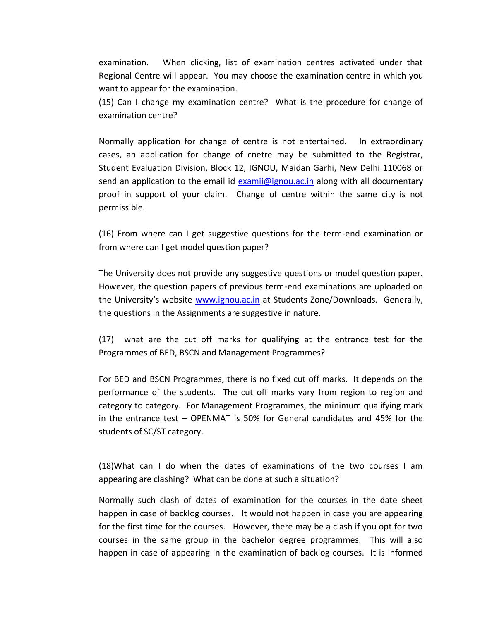examination. When clicking, list of examination centres activated under that Regional Centre will appear. You may choose the examination centre in which you want to appear for the examination.

(15) Can I change my examination centre? What is the procedure for change of examination centre?

Normally application for change of centre is not entertained. In extraordinary cases, an application for change of cnetre may be submitted to the Registrar, Student Evaluation Division, Block 12, IGNOU, Maidan Garhi, New Delhi 110068 or send an application to the email id [examii@ignou.ac.in](mailto:examii@ignou.ac.in) along with all documentary proof in support of your claim. Change of centre within the same city is not permissible.

(16) From where can I get suggestive questions for the term-end examination or from where can I get model question paper?

The University does not provide any suggestive questions or model question paper. However, the question papers of previous term-end examinations are uploaded on the University's website [www.ignou.ac.in](http://www.ignou.ac.in/) at Students Zone/Downloads. Generally, the questions in the Assignments are suggestive in nature.

(17) what are the cut off marks for qualifying at the entrance test for the Programmes of BED, BSCN and Management Programmes?

For BED and BSCN Programmes, there is no fixed cut off marks. It depends on the performance of the students. The cut off marks vary from region to region and category to category. For Management Programmes, the minimum qualifying mark in the entrance test – OPENMAT is 50% for General candidates and 45% for the students of SC/ST category.

(18)What can I do when the dates of examinations of the two courses I am appearing are clashing? What can be done at such a situation?

Normally such clash of dates of examination for the courses in the date sheet happen in case of backlog courses. It would not happen in case you are appearing for the first time for the courses. However, there may be a clash if you opt for two courses in the same group in the bachelor degree programmes. This will also happen in case of appearing in the examination of backlog courses. It is informed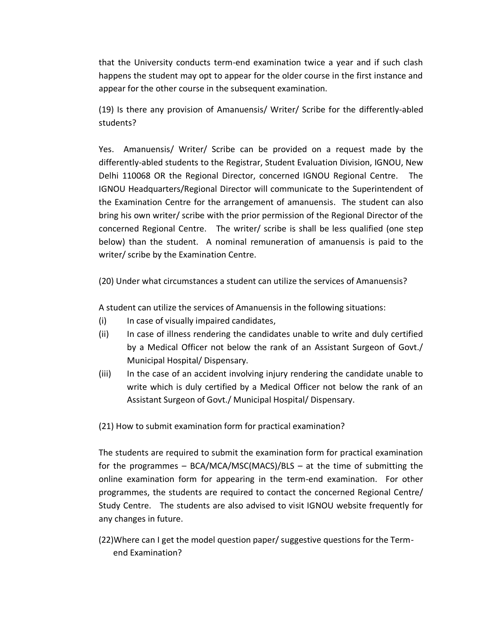that the University conducts term-end examination twice a year and if such clash happens the student may opt to appear for the older course in the first instance and appear for the other course in the subsequent examination.

(19) Is there any provision of Amanuensis/ Writer/ Scribe for the differently-abled students?

Yes. Amanuensis/ Writer/ Scribe can be provided on a request made by the differently-abled students to the Registrar, Student Evaluation Division, IGNOU, New Delhi 110068 OR the Regional Director, concerned IGNOU Regional Centre. The IGNOU Headquarters/Regional Director will communicate to the Superintendent of the Examination Centre for the arrangement of amanuensis. The student can also bring his own writer/ scribe with the prior permission of the Regional Director of the concerned Regional Centre. The writer/ scribe is shall be less qualified (one step below) than the student. A nominal remuneration of amanuensis is paid to the writer/ scribe by the Examination Centre.

(20) Under what circumstances a student can utilize the services of Amanuensis?

A student can utilize the services of Amanuensis in the following situations:

- (i) In case of visually impaired candidates,
- (ii) In case of illness rendering the candidates unable to write and duly certified by a Medical Officer not below the rank of an Assistant Surgeon of Govt./ Municipal Hospital/ Dispensary.
- (iii) In the case of an accident involving injury rendering the candidate unable to write which is duly certified by a Medical Officer not below the rank of an Assistant Surgeon of Govt./ Municipal Hospital/ Dispensary.

(21) How to submit examination form for practical examination?

The students are required to submit the examination form for practical examination for the programmes – BCA/MCA/MSC(MACS)/BLS – at the time of submitting the online examination form for appearing in the term-end examination. For other programmes, the students are required to contact the concerned Regional Centre/ Study Centre. The students are also advised to visit IGNOU website frequently for any changes in future.

(22)Where can I get the model question paper/ suggestive questions for the Term end Examination?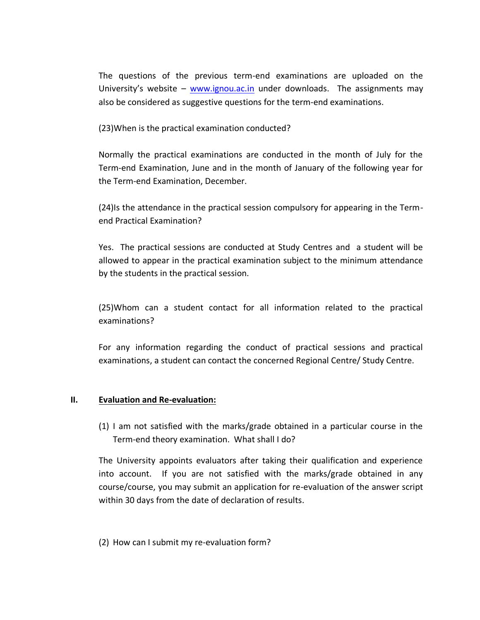The questions of the previous term-end examinations are uploaded on the University's website – [www.ignou.ac.in](http://www.ignou.ac.in/) under downloads. The assignments may also be considered as suggestive questions for the term-end examinations.

(23)When is the practical examination conducted?

Normally the practical examinations are conducted in the month of July for the Term-end Examination, June and in the month of January of the following year for the Term-end Examination, December.

(24)Is the attendance in the practical session compulsory for appearing in the Termend Practical Examination?

Yes. The practical sessions are conducted at Study Centres and a student will be allowed to appear in the practical examination subject to the minimum attendance by the students in the practical session.

(25)Whom can a student contact for all information related to the practical examinations?

For any information regarding the conduct of practical sessions and practical examinations, a student can contact the concerned Regional Centre/ Study Centre.

### **II. Evaluation and Re-evaluation:**

(1) I am not satisfied with the marks/grade obtained in a particular course in the Term-end theory examination. What shall I do?

The University appoints evaluators after taking their qualification and experience into account. If you are not satisfied with the marks/grade obtained in any course/course, you may submit an application for re-evaluation of the answer script within 30 days from the date of declaration of results.

(2) How can I submit my re-evaluation form?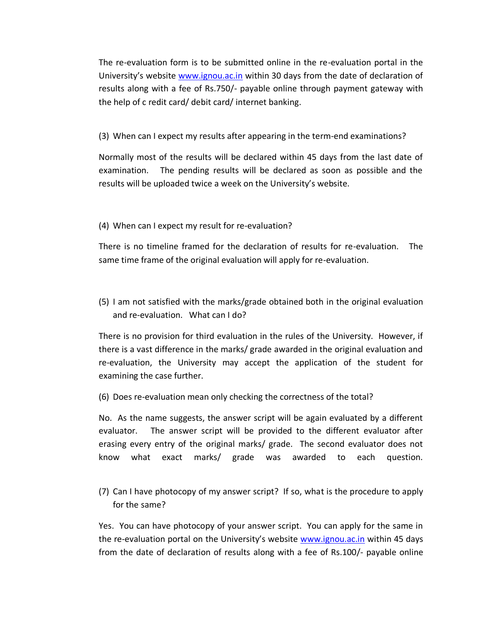The re-evaluation form is to be submitted online in the re-evaluation portal in the University's website [www.ignou.ac.in](http://www.ignou.ac.in/) within 30 days from the date of declaration of results along with a fee of Rs.750/- payable online through payment gateway with the help of c redit card/ debit card/ internet banking.

## (3) When can I expect my results after appearing in the term-end examinations?

Normally most of the results will be declared within 45 days from the last date of examination. The pending results will be declared as soon as possible and the results will be uploaded twice a week on the University's website.

### (4) When can I expect my result for re-evaluation?

There is no timeline framed for the declaration of results for re-evaluation. The same time frame of the original evaluation will apply for re-evaluation.

(5) I am not satisfied with the marks/grade obtained both in the original evaluation and re-evaluation. What can I do?

There is no provision for third evaluation in the rules of the University. However, if there is a vast difference in the marks/ grade awarded in the original evaluation and re-evaluation, the University may accept the application of the student for examining the case further.

(6) Does re-evaluation mean only checking the correctness of the total?

No. As the name suggests, the answer script will be again evaluated by a different evaluator. The answer script will be provided to the different evaluator after erasing every entry of the original marks/ grade. The second evaluator does not know what exact marks/ grade was awarded to each question.

(7) Can I have photocopy of my answer script? If so, what is the procedure to apply for the same?

Yes. You can have photocopy of your answer script. You can apply for the same in the re-evaluation portal on the University's website [www.ignou.ac.in](http://www.ignou.ac.in/) within 45 days from the date of declaration of results along with a fee of Rs.100/- payable online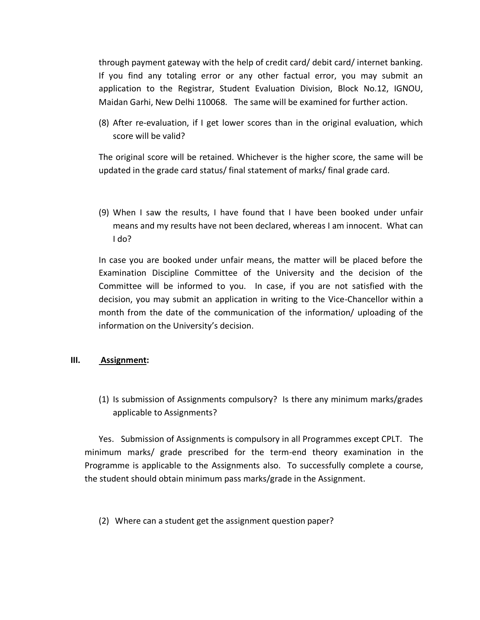through payment gateway with the help of credit card/ debit card/ internet banking. If you find any totaling error or any other factual error, you may submit an application to the Registrar, Student Evaluation Division, Block No.12, IGNOU, Maidan Garhi, New Delhi 110068. The same will be examined for further action.

(8) After re-evaluation, if I get lower scores than in the original evaluation, which score will be valid?

The original score will be retained. Whichever is the higher score, the same will be updated in the grade card status/ final statement of marks/ final grade card.

(9) When I saw the results, I have found that I have been booked under unfair means and my results have not been declared, whereas I am innocent. What can I do?

In case you are booked under unfair means, the matter will be placed before the Examination Discipline Committee of the University and the decision of the Committee will be informed to you. In case, if you are not satisfied with the decision, you may submit an application in writing to the Vice-Chancellor within a month from the date of the communication of the information/ uploading of the information on the University's decision.

### **III. Assignment:**

(1) Is submission of Assignments compulsory? Is there any minimum marks/grades applicable to Assignments?

Yes. Submission of Assignments is compulsory in all Programmes except CPLT. The minimum marks/ grade prescribed for the term-end theory examination in the Programme is applicable to the Assignments also. To successfully complete a course, the student should obtain minimum pass marks/grade in the Assignment.

(2) Where can a student get the assignment question paper?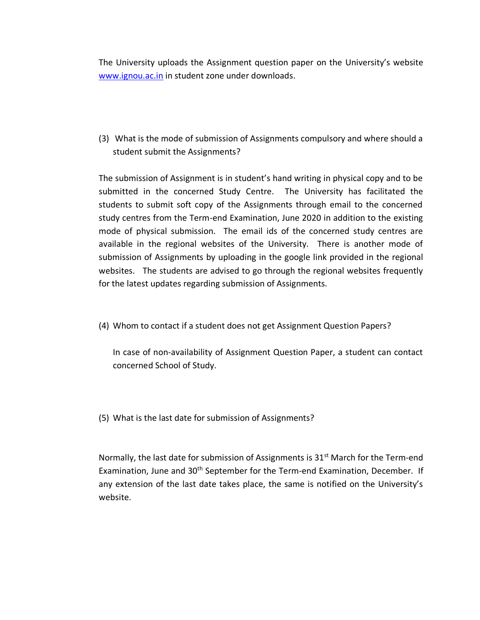The University uploads the Assignment question paper on the University's website [www.ignou.ac.in](http://www.ignou.ac.in/) in student zone under downloads.

(3) What is the mode of submission of Assignments compulsory and where should a student submit the Assignments?

The submission of Assignment is in student's hand writing in physical copy and to be submitted in the concerned Study Centre. The University has facilitated the students to submit soft copy of the Assignments through email to the concerned study centres from the Term-end Examination, June 2020 in addition to the existing mode of physical submission. The email ids of the concerned study centres are available in the regional websites of the University. There is another mode of submission of Assignments by uploading in the google link provided in the regional websites. The students are advised to go through the regional websites frequently for the latest updates regarding submission of Assignments.

(4) Whom to contact if a student does not get Assignment Question Papers?

In case of non-availability of Assignment Question Paper, a student can contact concerned School of Study.

(5) What is the last date for submission of Assignments?

Normally, the last date for submission of Assignments is  $31<sup>st</sup>$  March for the Term-end Examination, June and 30th September for the Term-end Examination, December. If any extension of the last date takes place, the same is notified on the University's website.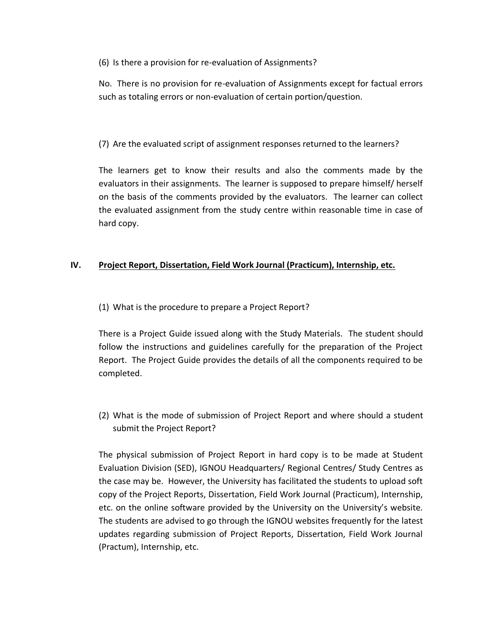(6) Is there a provision for re-evaluation of Assignments?

No. There is no provision for re-evaluation of Assignments except for factual errors such as totaling errors or non-evaluation of certain portion/question.

## (7) Are the evaluated script of assignment responses returned to the learners?

The learners get to know their results and also the comments made by the evaluators in their assignments. The learner is supposed to prepare himself/ herself on the basis of the comments provided by the evaluators. The learner can collect the evaluated assignment from the study centre within reasonable time in case of hard copy.

# **IV. Project Report, Dissertation, Field Work Journal (Practicum), Internship, etc.**

(1) What is the procedure to prepare a Project Report?

There is a Project Guide issued along with the Study Materials. The student should follow the instructions and guidelines carefully for the preparation of the Project Report. The Project Guide provides the details of all the components required to be completed.

(2) What is the mode of submission of Project Report and where should a student submit the Project Report?

The physical submission of Project Report in hard copy is to be made at Student Evaluation Division (SED), IGNOU Headquarters/ Regional Centres/ Study Centres as the case may be. However, the University has facilitated the students to upload soft copy of the Project Reports, Dissertation, Field Work Journal (Practicum), Internship, etc. on the online software provided by the University on the University's website. The students are advised to go through the IGNOU websites frequently for the latest updates regarding submission of Project Reports, Dissertation, Field Work Journal (Practum), Internship, etc.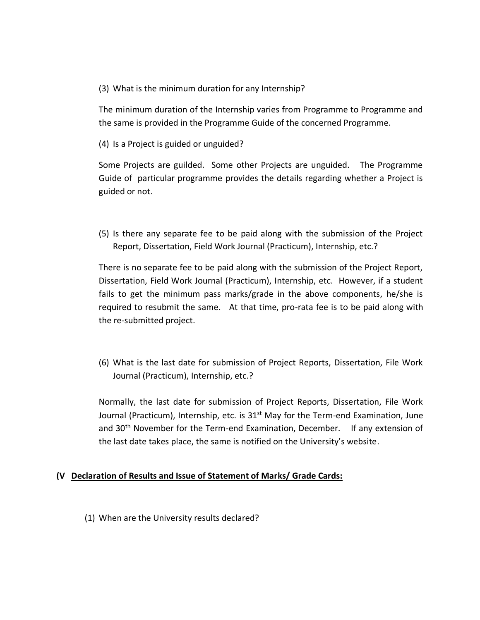(3) What is the minimum duration for any Internship?

The minimum duration of the Internship varies from Programme to Programme and the same is provided in the Programme Guide of the concerned Programme.

(4) Is a Project is guided or unguided?

Some Projects are guilded. Some other Projects are unguided. The Programme Guide of particular programme provides the details regarding whether a Project is guided or not.

(5) Is there any separate fee to be paid along with the submission of the Project Report, Dissertation, Field Work Journal (Practicum), Internship, etc.?

There is no separate fee to be paid along with the submission of the Project Report, Dissertation, Field Work Journal (Practicum), Internship, etc. However, if a student fails to get the minimum pass marks/grade in the above components, he/she is required to resubmit the same. At that time, pro-rata fee is to be paid along with the re-submitted project.

(6) What is the last date for submission of Project Reports, Dissertation, File Work Journal (Practicum), Internship, etc.?

Normally, the last date for submission of Project Reports, Dissertation, File Work Journal (Practicum), Internship, etc. is  $31<sup>st</sup>$  May for the Term-end Examination, June and 30<sup>th</sup> November for the Term-end Examination, December. If any extension of the last date takes place, the same is notified on the University's website.

### **(V Declaration of Results and Issue of Statement of Marks/ Grade Cards:**

(1) When are the University results declared?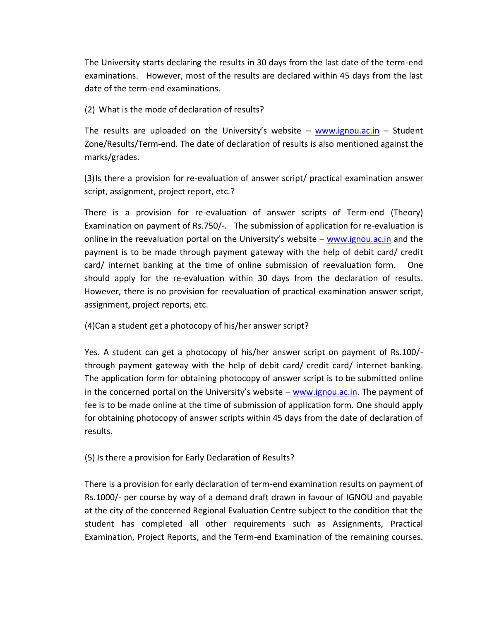The University starts declaring the results in 30 days from the last date of the term-end examinations. However, most of the results are declared within 45 days from the last date of the term-end examinations.

(2) What is the mode of declaration of results?

The results are uploaded on the University's website – [www.ignou.ac.in](http://www.ignou.ac.in/) – Student Zone/Results/Term-end. The date of declaration of results is also mentioned against the marks/grades.

(3)Is there a provision for re-evaluation of answer script/ practical examination answer script, assignment, project report, etc.?

There is a provision for re-evaluation of answer scripts of Term-end (Theory) Examination on payment of Rs.750/-. The submission of application for re-evaluation is online in the reevaluation portal on the University's website  $-$  [www.ignou.ac.in](http://www.ignou.ac.in/) and the payment is to be made through payment gateway with the help of debit card/ credit card/ internet banking at the time of online submission of reevaluation form. One should apply for the re-evaluation within 30 days from the declaration of results. However, there is no provision for reevaluation of practical examination answer script, assignment, project reports, etc.

(4)Can a student get a photocopy of his/her answer script?

Yes. A student can get a photocopy of his/her answer script on payment of Rs.100/ through payment gateway with the help of debit card/ credit card/ internet banking. The application form for obtaining photocopy of answer script is to be submitted online in the concerned portal on the University's website  $-$  [www.ignou.ac.in.](http://www.ignou.ac.in/) The payment of fee is to be made online at the time of submission of application form. One should apply for obtaining photocopy of answer scripts within 45 days from the date of declaration of results.

(5) Is there a provision for Early Declaration of Results?

There is a provision for early declaration of term-end examination results on payment of Rs.1000/- per course by way of a demand draft drawn in favour of IGNOU and payable at the city of the concerned Regional Evaluation Centre subject to the condition that the student has completed all other requirements such as Assignments, Practical Examination, Project Reports, and the Term-end Examination of the remaining courses.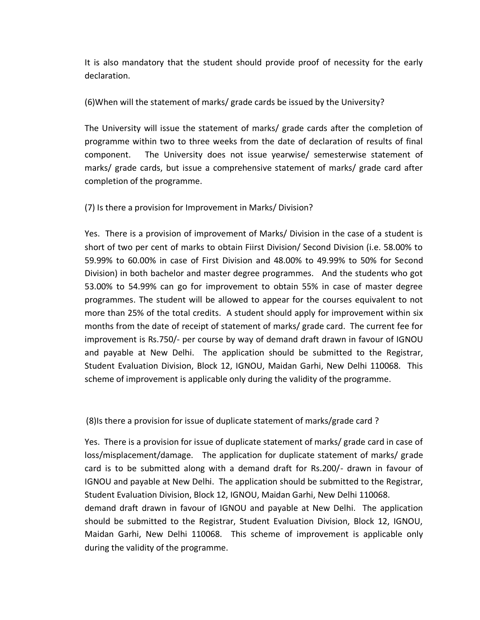It is also mandatory that the student should provide proof of necessity for the early declaration.

(6)When will the statement of marks/ grade cards be issued by the University?

The University will issue the statement of marks/ grade cards after the completion of programme within two to three weeks from the date of declaration of results of final component. The University does not issue yearwise/ semesterwise statement of marks/ grade cards, but issue a comprehensive statement of marks/ grade card after completion of the programme.

(7) Is there a provision for Improvement in Marks/ Division?

Yes. There is a provision of improvement of Marks/ Division in the case of a student is short of two per cent of marks to obtain Fiirst Division/ Second Division (i.e. 58.00% to 59.99% to 60.00% in case of First Division and 48.00% to 49.99% to 50% for Second Division) in both bachelor and master degree programmes. And the students who got 53.00% to 54.99% can go for improvement to obtain 55% in case of master degree programmes. The student will be allowed to appear for the courses equivalent to not more than 25% of the total credits. A student should apply for improvement within six months from the date of receipt of statement of marks/ grade card. The current fee for improvement is Rs.750/- per course by way of demand draft drawn in favour of IGNOU and payable at New Delhi. The application should be submitted to the Registrar, Student Evaluation Division, Block 12, IGNOU, Maidan Garhi, New Delhi 110068. This scheme of improvement is applicable only during the validity of the programme.

(8)Is there a provision for issue of duplicate statement of marks/grade card ?

Yes. There is a provision for issue of duplicate statement of marks/ grade card in case of loss/misplacement/damage. The application for duplicate statement of marks/ grade card is to be submitted along with a demand draft for Rs.200/- drawn in favour of IGNOU and payable at New Delhi. The application should be submitted to the Registrar, Student Evaluation Division, Block 12, IGNOU, Maidan Garhi, New Delhi 110068. demand draft drawn in favour of IGNOU and payable at New Delhi. The application should be submitted to the Registrar, Student Evaluation Division, Block 12, IGNOU, Maidan Garhi, New Delhi 110068. This scheme of improvement is applicable only during the validity of the programme.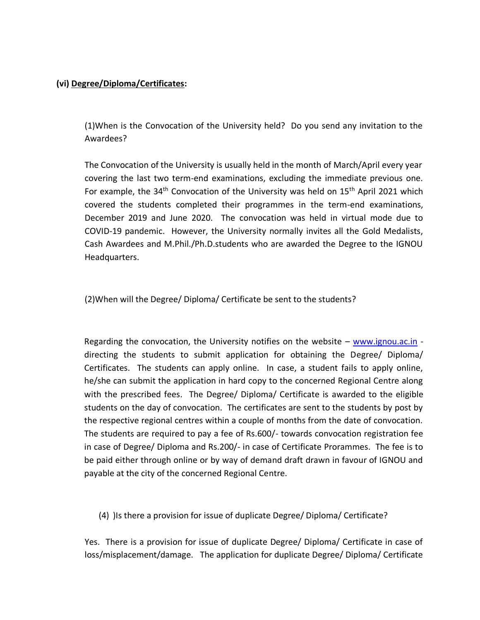## **(vi) Degree/Diploma/Certificates:**

(1)When is the Convocation of the University held? Do you send any invitation to the Awardees?

The Convocation of the University is usually held in the month of March/April every year covering the last two term-end examinations, excluding the immediate previous one. For example, the  $34<sup>th</sup>$  Convocation of the University was held on  $15<sup>th</sup>$  April 2021 which covered the students completed their programmes in the term-end examinations, December 2019 and June 2020. The convocation was held in virtual mode due to COVID-19 pandemic. However, the University normally invites all the Gold Medalists, Cash Awardees and M.Phil./Ph.D.students who are awarded the Degree to the IGNOU Headquarters.

(2)When will the Degree/ Diploma/ Certificate be sent to the students?

Regarding the convocation, the University notifies on the website  $-$  [www.ignou.ac.in](http://www.ignou.ac.in/) directing the students to submit application for obtaining the Degree/ Diploma/ Certificates. The students can apply online. In case, a student fails to apply online, he/she can submit the application in hard copy to the concerned Regional Centre along with the prescribed fees. The Degree/ Diploma/ Certificate is awarded to the eligible students on the day of convocation. The certificates are sent to the students by post by the respective regional centres within a couple of months from the date of convocation. The students are required to pay a fee of Rs.600/- towards convocation registration fee in case of Degree/ Diploma and Rs.200/- in case of Certificate Prorammes. The fee is to be paid either through online or by way of demand draft drawn in favour of IGNOU and payable at the city of the concerned Regional Centre.

(4) )Is there a provision for issue of duplicate Degree/ Diploma/ Certificate?

Yes. There is a provision for issue of duplicate Degree/ Diploma/ Certificate in case of loss/misplacement/damage. The application for duplicate Degree/ Diploma/ Certificate